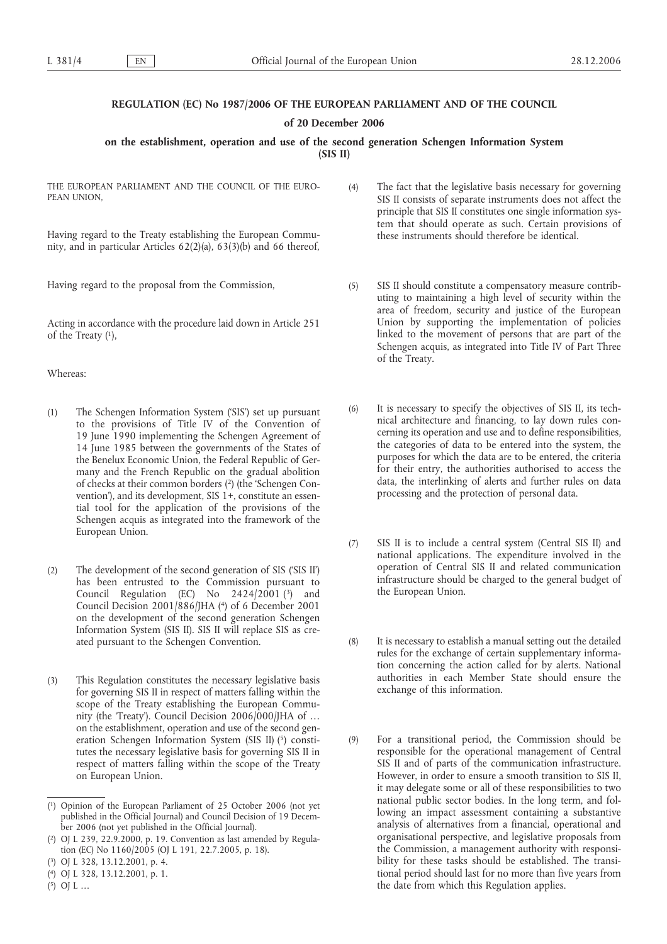# **REGULATION (EC) No 1987/2006 OF THE EUROPEAN PARLIAMENT AND OF THE COUNCIL**

## **of 20 December 2006**

# **on the establishment, operation and use of the second generation Schengen Information System (SIS II)**

THE EUROPEAN PARLIAMENT AND THE COUNCIL OF THE EURO-PEAN **INION** 

Having regard to the Treaty establishing the European Community, and in particular Articles 62(2)(a), 63(3)(b) and 66 thereof,

Having regard to the proposal from the Commission,

Acting in accordance with the procedure laid down in Article 251 of the Treaty (1),

## Whereas:

- (1) The Schengen Information System ('SIS') set up pursuant to the provisions of Title IV of the Convention of 19 June 1990 implementing the Schengen Agreement of 14 June 1985 between the governments of the States of the Benelux Economic Union, the Federal Republic of Germany and the French Republic on the gradual abolition of checks at their common borders (2) (the 'Schengen Convention'), and its development, SIS 1+, constitute an essential tool for the application of the provisions of the Schengen acquis as integrated into the framework of the European Union.
- (2) The development of the second generation of SIS ('SIS II') has been entrusted to the Commission pursuant to Council Regulation (EC) No 2424/2001 (3) and Council Decision 2001/886/JHA (4) of 6 December 2001 on the development of the second generation Schengen Information System (SIS II). SIS II will replace SIS as created pursuant to the Schengen Convention.
- (3) This Regulation constitutes the necessary legislative basis for governing SIS II in respect of matters falling within the scope of the Treaty establishing the European Community (the 'Treaty'). Council Decision 2006/000/JHA of … on the establishment, operation and use of the second generation Schengen Information System (SIS II) (5) constitutes the necessary legislative basis for governing SIS II in respect of matters falling within the scope of the Treaty on European Union.
- (4) The fact that the legislative basis necessary for governing SIS II consists of separate instruments does not affect the principle that SIS II constitutes one single information system that should operate as such. Certain provisions of these instruments should therefore be identical.
- (5) SIS II should constitute a compensatory measure contributing to maintaining a high level of security within the area of freedom, security and justice of the European Union by supporting the implementation of policies linked to the movement of persons that are part of the Schengen acquis, as integrated into Title IV of Part Three of the Treaty.
- (6) It is necessary to specify the objectives of SIS II, its technical architecture and financing, to lay down rules concerning its operation and use and to define responsibilities, the categories of data to be entered into the system, the purposes for which the data are to be entered, the criteria for their entry, the authorities authorised to access the data, the interlinking of alerts and further rules on data processing and the protection of personal data.
- (7) SIS II is to include a central system (Central SIS II) and national applications. The expenditure involved in the operation of Central SIS II and related communication infrastructure should be charged to the general budget of the European Union.
- (8) It is necessary to establish a manual setting out the detailed rules for the exchange of certain supplementary information concerning the action called for by alerts. National authorities in each Member State should ensure the exchange of this information.
- (9) For a transitional period, the Commission should be responsible for the operational management of Central SIS II and of parts of the communication infrastructure. However, in order to ensure a smooth transition to SIS II, it may delegate some or all of these responsibilities to two national public sector bodies. In the long term, and following an impact assessment containing a substantive analysis of alternatives from a financial, operational and organisational perspective, and legislative proposals from the Commission, a management authority with responsibility for these tasks should be established. The transitional period should last for no more than five years from the date from which this Regulation applies.

<sup>(</sup> 1) Opinion of the European Parliament of 25 October 2006 (not yet published in the Official Journal) and Council Decision of 19 December 2006 (not yet published in the Official Journal).

<sup>(</sup> 2) OJ L 239, 22.9.2000, p. 19. Convention as last amended by Regulation (EC) No 1160/2005 (OJ L 191, 22.7.2005, p. 18).

<sup>(</sup> 3) OJ L 328, 13.12.2001, p. 4.

<sup>(</sup> 4) OJ L 328, 13.12.2001, p. 1.

 $(5)$  OJ L ...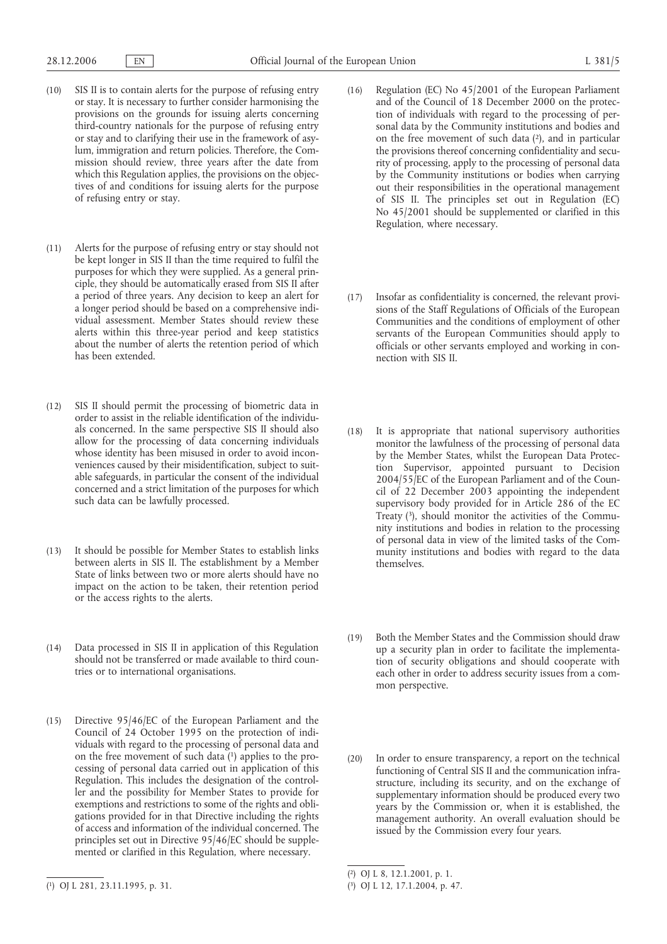- (10) SIS II is to contain alerts for the purpose of refusing entry or stay. It is necessary to further consider harmonising the provisions on the grounds for issuing alerts concerning third-country nationals for the purpose of refusing entry or stay and to clarifying their use in the framework of asylum, immigration and return policies. Therefore, the Commission should review, three years after the date from which this Regulation applies, the provisions on the objectives of and conditions for issuing alerts for the purpose of refusing entry or stay.
- (11) Alerts for the purpose of refusing entry or stay should not be kept longer in SIS II than the time required to fulfil the purposes for which they were supplied. As a general principle, they should be automatically erased from SIS II after a period of three years. Any decision to keep an alert for a longer period should be based on a comprehensive individual assessment. Member States should review these alerts within this three-year period and keep statistics about the number of alerts the retention period of which has been extended.
- (12) SIS II should permit the processing of biometric data in order to assist in the reliable identification of the individuals concerned. In the same perspective SIS II should also allow for the processing of data concerning individuals whose identity has been misused in order to avoid inconveniences caused by their misidentification, subject to suitable safeguards, in particular the consent of the individual concerned and a strict limitation of the purposes for which such data can be lawfully processed.
- (13) It should be possible for Member States to establish links between alerts in SIS II. The establishment by a Member State of links between two or more alerts should have no impact on the action to be taken, their retention period or the access rights to the alerts.
- (14) Data processed in SIS II in application of this Regulation should not be transferred or made available to third countries or to international organisations.
- (15) Directive 95/46/EC of the European Parliament and the Council of 24 October 1995 on the protection of individuals with regard to the processing of personal data and on the free movement of such data (1) applies to the processing of personal data carried out in application of this Regulation. This includes the designation of the controller and the possibility for Member States to provide for exemptions and restrictions to some of the rights and obligations provided for in that Directive including the rights of access and information of the individual concerned. The principles set out in Directive 95/46/EC should be supplemented or clarified in this Regulation, where necessary.
- (16) Regulation (EC) No 45/2001 of the European Parliament and of the Council of 18 December 2000 on the protection of individuals with regard to the processing of personal data by the Community institutions and bodies and on the free movement of such data (2), and in particular the provisions thereof concerning confidentiality and security of processing, apply to the processing of personal data by the Community institutions or bodies when carrying out their responsibilities in the operational management of SIS II. The principles set out in Regulation (EC) No 45/2001 should be supplemented or clarified in this Regulation, where necessary.
- (17) Insofar as confidentiality is concerned, the relevant provisions of the Staff Regulations of Officials of the European Communities and the conditions of employment of other servants of the European Communities should apply to officials or other servants employed and working in connection with SIS II.
- (18) It is appropriate that national supervisory authorities monitor the lawfulness of the processing of personal data by the Member States, whilst the European Data Protection Supervisor, appointed pursuant to Decision 2004/55/EC of the European Parliament and of the Council of 22 December 2003 appointing the independent supervisory body provided for in Article 286 of the EC Treaty (3), should monitor the activities of the Community institutions and bodies in relation to the processing of personal data in view of the limited tasks of the Community institutions and bodies with regard to the data themselves.
- (19) Both the Member States and the Commission should draw up a security plan in order to facilitate the implementation of security obligations and should cooperate with each other in order to address security issues from a common perspective.
- (20) In order to ensure transparency, a report on the technical functioning of Central SIS II and the communication infrastructure, including its security, and on the exchange of supplementary information should be produced every two years by the Commission or, when it is established, the management authority. An overall evaluation should be issued by the Commission every four years.

<sup>(</sup> 1) OJ L 281, 23.11.1995, p. 31.

<sup>(</sup> 2) OJ L 8, 12.1.2001, p. 1.

<sup>(</sup> 3) OJ L 12, 17.1.2004, p. 47.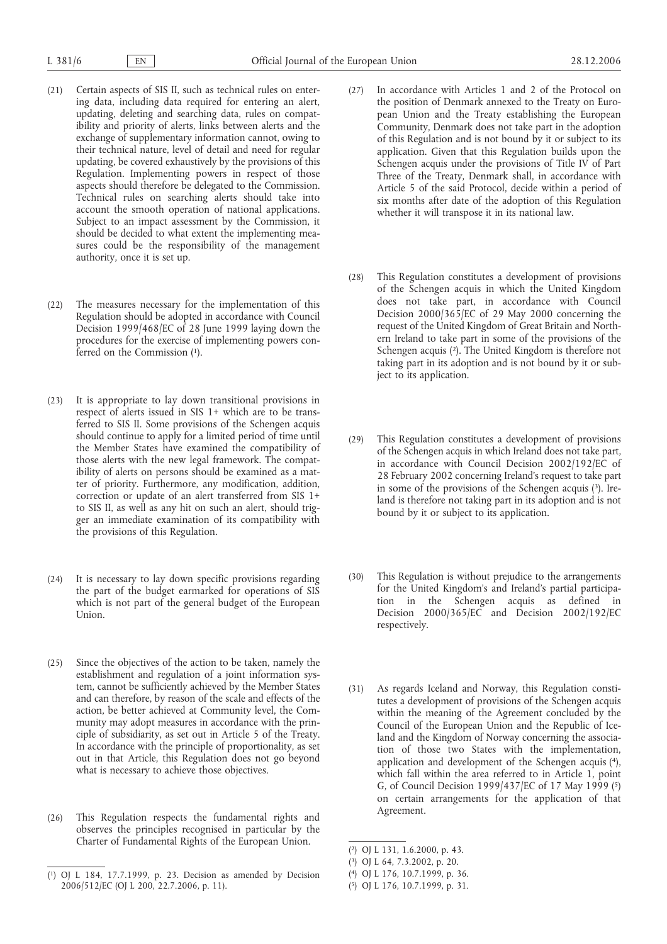- (21) Certain aspects of SIS II, such as technical rules on entering data, including data required for entering an alert, updating, deleting and searching data, rules on compatibility and priority of alerts, links between alerts and the exchange of supplementary information cannot, owing to their technical nature, level of detail and need for regular updating, be covered exhaustively by the provisions of this Regulation. Implementing powers in respect of those aspects should therefore be delegated to the Commission. Technical rules on searching alerts should take into account the smooth operation of national applications. Subject to an impact assessment by the Commission, it should be decided to what extent the implementing measures could be the responsibility of the management authority, once it is set up.
- (22) The measures necessary for the implementation of this Regulation should be adopted in accordance with Council Decision 1999/468/EC of 28 June 1999 laying down the procedures for the exercise of implementing powers conferred on the Commission (1).
- (23) It is appropriate to lay down transitional provisions in respect of alerts issued in SIS 1+ which are to be transferred to SIS II. Some provisions of the Schengen acquis should continue to apply for a limited period of time until the Member States have examined the compatibility of those alerts with the new legal framework. The compatibility of alerts on persons should be examined as a matter of priority. Furthermore, any modification, addition, correction or update of an alert transferred from SIS 1+ to SIS II, as well as any hit on such an alert, should trigger an immediate examination of its compatibility with the provisions of this Regulation.
- (24) It is necessary to lay down specific provisions regarding the part of the budget earmarked for operations of SIS which is not part of the general budget of the European Union.
- (25) Since the objectives of the action to be taken, namely the establishment and regulation of a joint information system, cannot be sufficiently achieved by the Member States and can therefore, by reason of the scale and effects of the action, be better achieved at Community level, the Community may adopt measures in accordance with the principle of subsidiarity, as set out in Article 5 of the Treaty. In accordance with the principle of proportionality, as set out in that Article, this Regulation does not go beyond what is necessary to achieve those objectives.
- (26) This Regulation respects the fundamental rights and observes the principles recognised in particular by the Charter of Fundamental Rights of the European Union.
- (27) In accordance with Articles 1 and 2 of the Protocol on the position of Denmark annexed to the Treaty on European Union and the Treaty establishing the European Community, Denmark does not take part in the adoption of this Regulation and is not bound by it or subject to its application. Given that this Regulation builds upon the Schengen acquis under the provisions of Title IV of Part Three of the Treaty, Denmark shall, in accordance with Article 5 of the said Protocol, decide within a period of six months after date of the adoption of this Regulation whether it will transpose it in its national law.
- (28) This Regulation constitutes a development of provisions of the Schengen acquis in which the United Kingdom does not take part, in accordance with Council Decision 2000/365/EC of 29 May 2000 concerning the request of the United Kingdom of Great Britain and Northern Ireland to take part in some of the provisions of the Schengen acquis (2). The United Kingdom is therefore not taking part in its adoption and is not bound by it or subject to its application.
- (29) This Regulation constitutes a development of provisions of the Schengen acquis in which Ireland does not take part, in accordance with Council Decision 2002/192/EC of 28 February 2002 concerning Ireland's request to take part in some of the provisions of the Schengen acquis (3). Ireland is therefore not taking part in its adoption and is not bound by it or subject to its application.
- (30) This Regulation is without prejudice to the arrangements for the United Kingdom's and Ireland's partial participation in the Schengen acquis as defined in Decision 2000/365/EC and Decision 2002/192/EC respectively.
- (31) As regards Iceland and Norway, this Regulation constitutes a development of provisions of the Schengen acquis within the meaning of the Agreement concluded by the Council of the European Union and the Republic of Iceland and the Kingdom of Norway concerning the association of those two States with the implementation, application and development of the Schengen acquis (4), which fall within the area referred to in Article 1, point G, of Council Decision 1999/437/EC of 17 May 1999 (5) on certain arrangements for the application of that Agreement.

<sup>(</sup> 1) OJ L 184, 17.7.1999, p. 23. Decision as amended by Decision 2006/512/EC (OJ L 200, 22.7.2006, p. 11).

<sup>(</sup> 2) OJ L 131, 1.6.2000, p. 43.

<sup>(</sup> 3) OJ L 64, 7.3.2002, p. 20.

<sup>(</sup> 4) OJ L 176, 10.7.1999, p. 36.

<sup>(</sup> 5) OJ L 176, 10.7.1999, p. 31.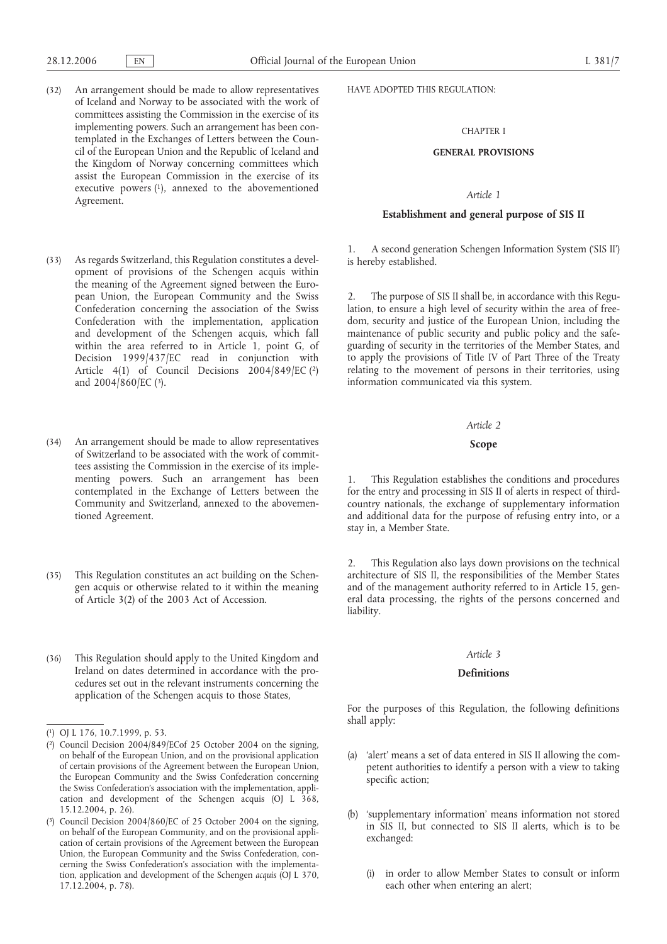- (32) An arrangement should be made to allow representatives of Iceland and Norway to be associated with the work of committees assisting the Commission in the exercise of its implementing powers. Such an arrangement has been contemplated in the Exchanges of Letters between the Council of the European Union and the Republic of Iceland and the Kingdom of Norway concerning committees which assist the European Commission in the exercise of its executive powers (1), annexed to the abovementioned Agreement.
- (33) As regards Switzerland, this Regulation constitutes a development of provisions of the Schengen acquis within the meaning of the Agreement signed between the European Union, the European Community and the Swiss Confederation concerning the association of the Swiss Confederation with the implementation, application and development of the Schengen acquis, which fall within the area referred to in Article 1, point G, of Decision 1999/437/EC read in conjunction with Article 4(1) of Council Decisions 2004/849/EC (2) and 2004/860/EC (3).
- (34) An arrangement should be made to allow representatives of Switzerland to be associated with the work of committees assisting the Commission in the exercise of its implementing powers. Such an arrangement has been contemplated in the Exchange of Letters between the Community and Switzerland, annexed to the abovementioned Agreement.
- (35) This Regulation constitutes an act building on the Schengen acquis or otherwise related to it within the meaning of Article 3(2) of the 2003 Act of Accession.
- (36) This Regulation should apply to the United Kingdom and Ireland on dates determined in accordance with the procedures set out in the relevant instruments concerning the application of the Schengen acquis to those States,

HAVE ADOPTED THIS REGULATION:

### CHAPTER I

## **GENERAL PROVISIONS**

#### *Article 1*

## **Establishment and general purpose of SIS II**

1. A second generation Schengen Information System ('SIS II') is hereby established.

2. The purpose of SIS II shall be, in accordance with this Regulation, to ensure a high level of security within the area of freedom, security and justice of the European Union, including the maintenance of public security and public policy and the safeguarding of security in the territories of the Member States, and to apply the provisions of Title IV of Part Three of the Treaty relating to the movement of persons in their territories, using information communicated via this system.

## *Article 2*

### **Scope**

1. This Regulation establishes the conditions and procedures for the entry and processing in SIS II of alerts in respect of thirdcountry nationals, the exchange of supplementary information and additional data for the purpose of refusing entry into, or a stay in, a Member State.

2. This Regulation also lays down provisions on the technical architecture of SIS II, the responsibilities of the Member States and of the management authority referred to in Article 15, general data processing, the rights of the persons concerned and liability.

### *Article 3*

### **Definitions**

For the purposes of this Regulation, the following definitions shall apply:

- (a) 'alert' means a set of data entered in SIS II allowing the competent authorities to identify a person with a view to taking specific action;
- (b) 'supplementary information' means information not stored in SIS II, but connected to SIS II alerts, which is to be exchanged:
	- (i) in order to allow Member States to consult or inform each other when entering an alert;

<sup>(</sup> 1) OJ L 176, 10.7.1999, p. 53.

<sup>(</sup> 2) Council Decision 2004/849/ECof 25 October 2004 on the signing, on behalf of the European Union, and on the provisional application of certain provisions of the Agreement between the European Union, the European Community and the Swiss Confederation concerning the Swiss Confederation's association with the implementation, application and development of the Schengen acquis (OJ L 368, 15.12.2004, p. 26).

<sup>(</sup> 3) Council Decision 2004/860/EC of 25 October 2004 on the signing, on behalf of the European Community, and on the provisional application of certain provisions of the Agreement between the European Union, the European Community and the Swiss Confederation, concerning the Swiss Confederation's association with the implementation, application and development of the Schengen *acquis* (OJ L 370, 17.12.2004, p. 78).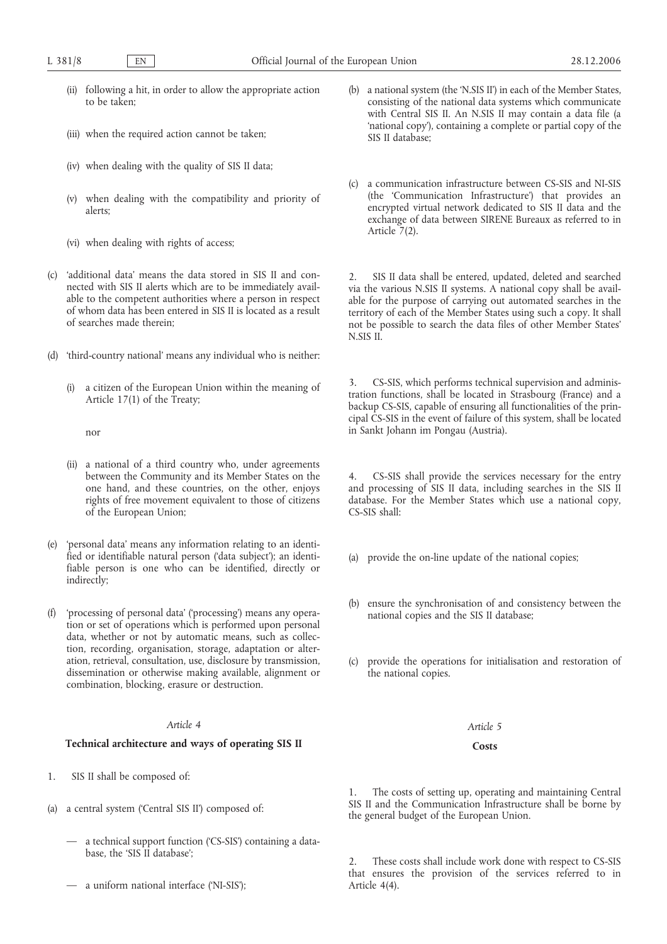- (ii) following a hit, in order to allow the appropriate action to be taken;
- (iii) when the required action cannot be taken;
- (iv) when dealing with the quality of SIS II data;
- (v) when dealing with the compatibility and priority of alerts;
- (vi) when dealing with rights of access;
- (c) 'additional data' means the data stored in SIS II and connected with SIS II alerts which are to be immediately available to the competent authorities where a person in respect of whom data has been entered in SIS II is located as a result of searches made therein;
- (d) 'third-country national' means any individual who is neither:
	- (i) a citizen of the European Union within the meaning of Article 17(1) of the Treaty;

nor

- (ii) a national of a third country who, under agreements between the Community and its Member States on the one hand, and these countries, on the other, enjoys rights of free movement equivalent to those of citizens of the European Union;
- (e) 'personal data' means any information relating to an identified or identifiable natural person ('data subject'); an identifiable person is one who can be identified, directly or indirectly;
- 'processing of personal data' ('processing') means any operation or set of operations which is performed upon personal data, whether or not by automatic means, such as collection, recording, organisation, storage, adaptation or alteration, retrieval, consultation, use, disclosure by transmission, dissemination or otherwise making available, alignment or combination, blocking, erasure or destruction.

#### *Article 4*

# **Technical architecture and ways of operating SIS II**

- 1. SIS II shall be composed of:
- (a) a central system ('Central SIS II') composed of:
	- a technical support function ('CS-SIS') containing a database, the 'SIS II database';
	- a uniform national interface ('NI-SIS');
- (b) a national system (the 'N.SIS II') in each of the Member States, consisting of the national data systems which communicate with Central SIS II. An N.SIS II may contain a data file (a 'national copy'), containing a complete or partial copy of the SIS II database;
- (c) a communication infrastructure between CS-SIS and NI-SIS (the 'Communication Infrastructure') that provides an encrypted virtual network dedicated to SIS II data and the exchange of data between SIRENE Bureaux as referred to in Article 7(2).

2. SIS II data shall be entered, updated, deleted and searched via the various N.SIS II systems. A national copy shall be available for the purpose of carrying out automated searches in the territory of each of the Member States using such a copy. It shall not be possible to search the data files of other Member States' N.SIS II.

3. CS-SIS, which performs technical supervision and administration functions, shall be located in Strasbourg (France) and a backup CS-SIS, capable of ensuring all functionalities of the principal CS-SIS in the event of failure of this system, shall be located in Sankt Johann im Pongau (Austria).

4. CS-SIS shall provide the services necessary for the entry and processing of SIS II data, including searches in the SIS II database. For the Member States which use a national copy, CS-SIS shall:

- (a) provide the on-line update of the national copies;
- (b) ensure the synchronisation of and consistency between the national copies and the SIS II database;
- (c) provide the operations for initialisation and restoration of the national copies.

## *Article 5*

# **Costs**

1. The costs of setting up, operating and maintaining Central SIS II and the Communication Infrastructure shall be borne by the general budget of the European Union.

These costs shall include work done with respect to CS-SIS that ensures the provision of the services referred to in Article 4(4).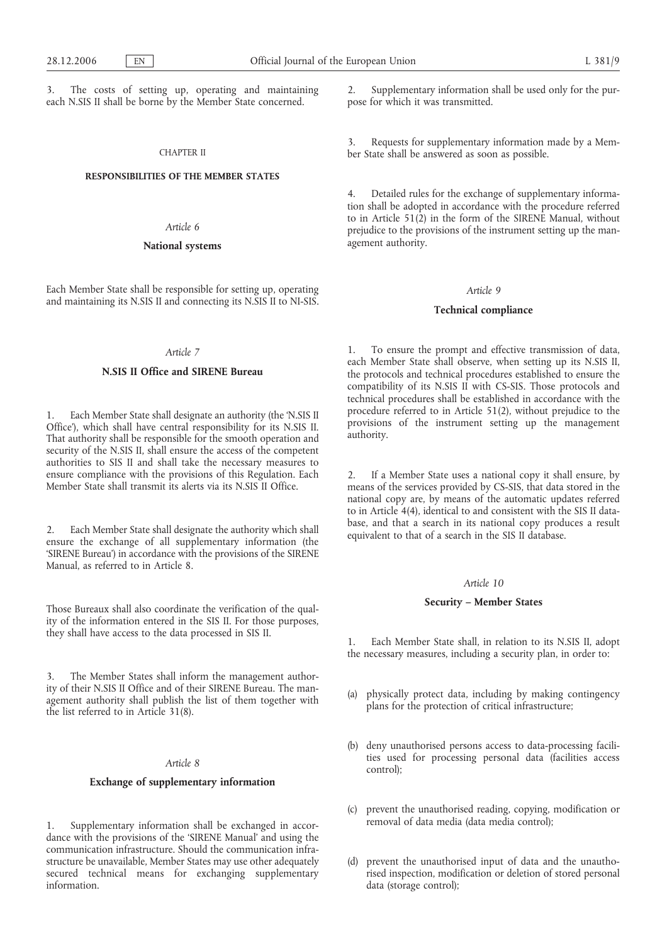3. The costs of setting up, operating and maintaining each N.SIS II shall be borne by the Member State concerned.

## CHAPTER II

#### **RESPONSIBILITIES OF THE MEMBER STATES**

# *Article 6*

#### **National systems**

Each Member State shall be responsible for setting up, operating and maintaining its N.SIS II and connecting its N.SIS II to NI-SIS.

# *Article 7*

## **N.SIS II Office and SIRENE Bureau**

1. Each Member State shall designate an authority (the 'N.SIS II Office'), which shall have central responsibility for its N.SIS II. That authority shall be responsible for the smooth operation and security of the N.SIS II, shall ensure the access of the competent authorities to SIS II and shall take the necessary measures to ensure compliance with the provisions of this Regulation. Each Member State shall transmit its alerts via its N.SIS II Office.

2. Each Member State shall designate the authority which shall ensure the exchange of all supplementary information (the 'SIRENE Bureau') in accordance with the provisions of the SIRENE Manual, as referred to in Article 8.

Those Bureaux shall also coordinate the verification of the quality of the information entered in the SIS II. For those purposes, they shall have access to the data processed in SIS II.

3. The Member States shall inform the management authority of their N.SIS II Office and of their SIRENE Bureau. The management authority shall publish the list of them together with the list referred to in Article 31(8).

### *Article 8*

### **Exchange of supplementary information**

1. Supplementary information shall be exchanged in accordance with the provisions of the 'SIRENE Manual' and using the communication infrastructure. Should the communication infrastructure be unavailable, Member States may use other adequately secured technical means for exchanging supplementary information.

2. Supplementary information shall be used only for the purpose for which it was transmitted.

3. Requests for supplementary information made by a Member State shall be answered as soon as possible.

Detailed rules for the exchange of supplementary information shall be adopted in accordance with the procedure referred to in Article  $51(2)$  in the form of the SIRENE Manual, without prejudice to the provisions of the instrument setting up the management authority.

#### *Article 9*

### **Technical compliance**

1. To ensure the prompt and effective transmission of data, each Member State shall observe, when setting up its N.SIS II, the protocols and technical procedures established to ensure the compatibility of its N.SIS II with CS-SIS. Those protocols and technical procedures shall be established in accordance with the procedure referred to in Article 51(2), without prejudice to the provisions of the instrument setting up the management authority.

If a Member State uses a national copy it shall ensure, by means of the services provided by CS-SIS, that data stored in the national copy are, by means of the automatic updates referred to in Article 4(4), identical to and consistent with the SIS II database, and that a search in its national copy produces a result equivalent to that of a search in the SIS II database.

## *Article 10*

### **Security – Member States**

1. Each Member State shall, in relation to its N.SIS II, adopt the necessary measures, including a security plan, in order to:

- (a) physically protect data, including by making contingency plans for the protection of critical infrastructure;
- (b) deny unauthorised persons access to data-processing facilities used for processing personal data (facilities access control);
- (c) prevent the unauthorised reading, copying, modification or removal of data media (data media control);
- (d) prevent the unauthorised input of data and the unauthorised inspection, modification or deletion of stored personal data (storage control);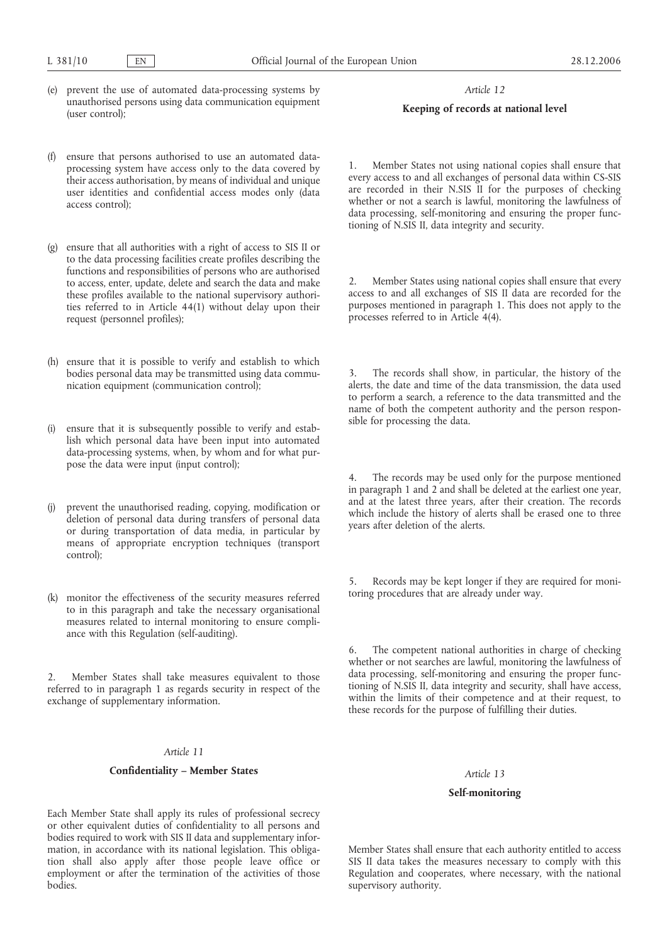- (e) prevent the use of automated data-processing systems by unauthorised persons using data communication equipment (user control);
- (f) ensure that persons authorised to use an automated dataprocessing system have access only to the data covered by their access authorisation, by means of individual and unique user identities and confidential access modes only (data access control);
- (g) ensure that all authorities with a right of access to SIS II or to the data processing facilities create profiles describing the functions and responsibilities of persons who are authorised to access, enter, update, delete and search the data and make these profiles available to the national supervisory authorities referred to in Article 44(1) without delay upon their request (personnel profiles);
- (h) ensure that it is possible to verify and establish to which bodies personal data may be transmitted using data communication equipment (communication control);
- (i) ensure that it is subsequently possible to verify and establish which personal data have been input into automated data-processing systems, when, by whom and for what purpose the data were input (input control);
- (j) prevent the unauthorised reading, copying, modification or deletion of personal data during transfers of personal data or during transportation of data media, in particular by means of appropriate encryption techniques (transport control);
- (k) monitor the effectiveness of the security measures referred to in this paragraph and take the necessary organisational measures related to internal monitoring to ensure compliance with this Regulation (self-auditing).

Member States shall take measures equivalent to those referred to in paragraph 1 as regards security in respect of the exchange of supplementary information.

#### *Article 11*

#### **Confidentiality – Member States**

Each Member State shall apply its rules of professional secrecy or other equivalent duties of confidentiality to all persons and bodies required to work with SIS II data and supplementary information, in accordance with its national legislation. This obligation shall also apply after those people leave office or employment or after the termination of the activities of those bodies.

#### *Article 12*

## **Keeping of records at national level**

1. Member States not using national copies shall ensure that every access to and all exchanges of personal data within CS-SIS are recorded in their N.SIS II for the purposes of checking whether or not a search is lawful, monitoring the lawfulness of data processing, self-monitoring and ensuring the proper functioning of N.SIS II, data integrity and security.

2. Member States using national copies shall ensure that every access to and all exchanges of SIS II data are recorded for the purposes mentioned in paragraph 1. This does not apply to the processes referred to in Article 4(4).

3. The records shall show, in particular, the history of the alerts, the date and time of the data transmission, the data used to perform a search, a reference to the data transmitted and the name of both the competent authority and the person responsible for processing the data.

The records may be used only for the purpose mentioned in paragraph 1 and 2 and shall be deleted at the earliest one year, and at the latest three years, after their creation. The records which include the history of alerts shall be erased one to three years after deletion of the alerts.

5. Records may be kept longer if they are required for monitoring procedures that are already under way.

6. The competent national authorities in charge of checking whether or not searches are lawful, monitoring the lawfulness of data processing, self-monitoring and ensuring the proper functioning of N.SIS II, data integrity and security, shall have access, within the limits of their competence and at their request, to these records for the purpose of fulfilling their duties.

#### *Article 13*

## **Self-monitoring**

Member States shall ensure that each authority entitled to access SIS II data takes the measures necessary to comply with this Regulation and cooperates, where necessary, with the national supervisory authority.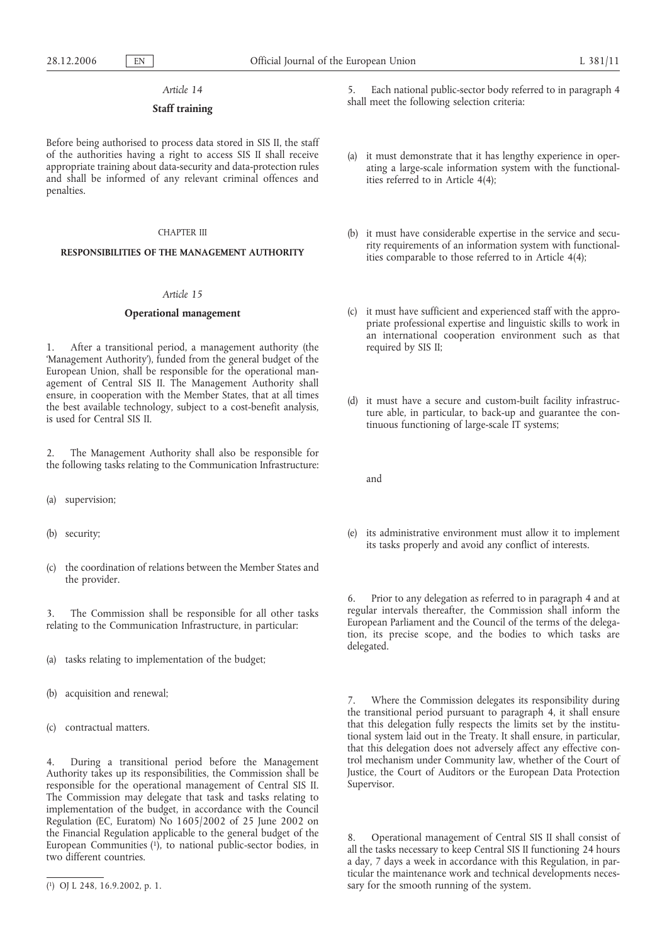# **Staff training**

Before being authorised to process data stored in SIS II, the staff of the authorities having a right to access SIS II shall receive appropriate training about data-security and data-protection rules and shall be informed of any relevant criminal offences and penalties.

#### CHAPTER III

# **RESPONSIBILITIES OF THE MANAGEMENT AUTHORITY**

## *Article 15*

## **Operational management**

1. After a transitional period, a management authority (the 'Management Authority'), funded from the general budget of the European Union, shall be responsible for the operational management of Central SIS II. The Management Authority shall ensure, in cooperation with the Member States, that at all times the best available technology, subject to a cost-benefit analysis, is used for Central SIS II.

2. The Management Authority shall also be responsible for the following tasks relating to the Communication Infrastructure:

- (a) supervision;
- (b) security;
- (c) the coordination of relations between the Member States and the provider.

3. The Commission shall be responsible for all other tasks relating to the Communication Infrastructure, in particular:

- (a) tasks relating to implementation of the budget;
- (b) acquisition and renewal;
- (c) contractual matters.

4. During a transitional period before the Management Authority takes up its responsibilities, the Commission shall be responsible for the operational management of Central SIS II. The Commission may delegate that task and tasks relating to implementation of the budget, in accordance with the Council Regulation (EC, Euratom) No 1605/2002 of 25 June 2002 on the Financial Regulation applicable to the general budget of the European Communities (1), to national public-sector bodies, in two different countries.

5. Each national public-sector body referred to in paragraph 4 shall meet the following selection criteria:

- (a) it must demonstrate that it has lengthy experience in operating a large-scale information system with the functionalities referred to in Article 4(4);
- (b) it must have considerable expertise in the service and security requirements of an information system with functionalities comparable to those referred to in Article 4(4);
- (c) it must have sufficient and experienced staff with the appropriate professional expertise and linguistic skills to work in an international cooperation environment such as that required by SIS II;
- (d) it must have a secure and custom-built facility infrastructure able, in particular, to back-up and guarantee the continuous functioning of large-scale IT systems;
	- and
- (e) its administrative environment must allow it to implement its tasks properly and avoid any conflict of interests.

6. Prior to any delegation as referred to in paragraph 4 and at regular intervals thereafter, the Commission shall inform the European Parliament and the Council of the terms of the delegation, its precise scope, and the bodies to which tasks are delegated.

7. Where the Commission delegates its responsibility during the transitional period pursuant to paragraph 4, it shall ensure that this delegation fully respects the limits set by the institutional system laid out in the Treaty. It shall ensure, in particular, that this delegation does not adversely affect any effective control mechanism under Community law, whether of the Court of Justice, the Court of Auditors or the European Data Protection Supervisor.

8. Operational management of Central SIS II shall consist of all the tasks necessary to keep Central SIS II functioning 24 hours a day, 7 days a week in accordance with this Regulation, in particular the maintenance work and technical developments neces- (1) OJ L 248, 16.9.2002, p. 1. Sary for the smooth running of the system.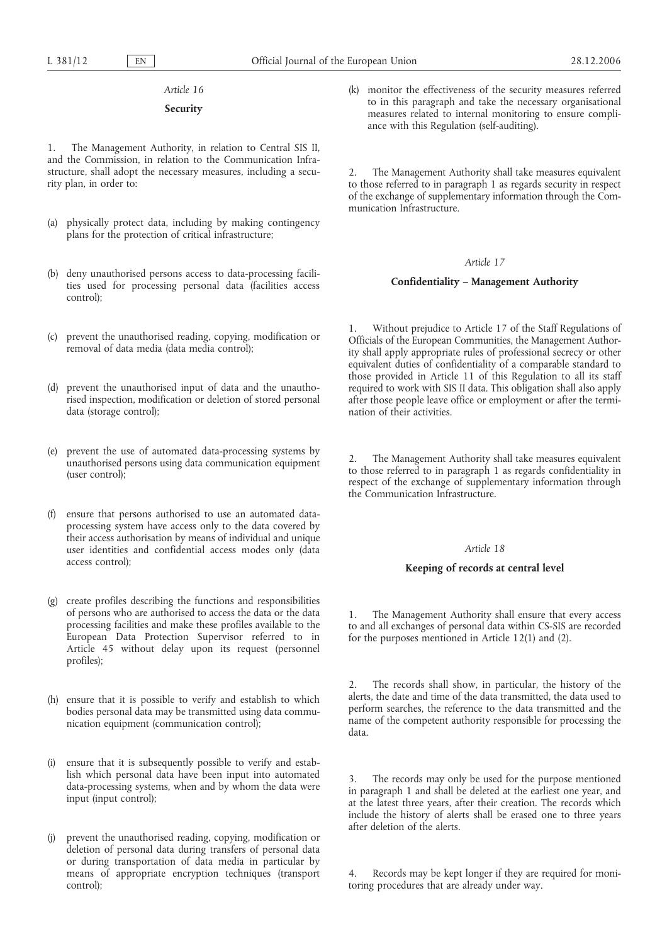## **Security**

1. The Management Authority, in relation to Central SIS II, and the Commission, in relation to the Communication Infrastructure, shall adopt the necessary measures, including a security plan, in order to:

- (a) physically protect data, including by making contingency plans for the protection of critical infrastructure;
- (b) deny unauthorised persons access to data-processing facilities used for processing personal data (facilities access control);
- (c) prevent the unauthorised reading, copying, modification or removal of data media (data media control);
- (d) prevent the unauthorised input of data and the unauthorised inspection, modification or deletion of stored personal data (storage control);
- (e) prevent the use of automated data-processing systems by unauthorised persons using data communication equipment (user control);
- (f) ensure that persons authorised to use an automated dataprocessing system have access only to the data covered by their access authorisation by means of individual and unique user identities and confidential access modes only (data access control);
- (g) create profiles describing the functions and responsibilities of persons who are authorised to access the data or the data processing facilities and make these profiles available to the European Data Protection Supervisor referred to in Article 45 without delay upon its request (personnel profiles);
- (h) ensure that it is possible to verify and establish to which bodies personal data may be transmitted using data communication equipment (communication control);
- (i) ensure that it is subsequently possible to verify and establish which personal data have been input into automated data-processing systems, when and by whom the data were input (input control);
- (j) prevent the unauthorised reading, copying, modification or deletion of personal data during transfers of personal data or during transportation of data media in particular by means of appropriate encryption techniques (transport control);

(k) monitor the effectiveness of the security measures referred to in this paragraph and take the necessary organisational measures related to internal monitoring to ensure compliance with this Regulation (self-auditing).

2. The Management Authority shall take measures equivalent to those referred to in paragraph 1 as regards security in respect of the exchange of supplementary information through the Communication Infrastructure.

# *Article 17*

## **Confidentiality – Management Authority**

1. Without prejudice to Article 17 of the Staff Regulations of Officials of the European Communities, the Management Authority shall apply appropriate rules of professional secrecy or other equivalent duties of confidentiality of a comparable standard to those provided in Article 11 of this Regulation to all its staff required to work with SIS II data. This obligation shall also apply after those people leave office or employment or after the termination of their activities.

2. The Management Authority shall take measures equivalent to those referred to in paragraph 1 as regards confidentiality in respect of the exchange of supplementary information through the Communication Infrastructure.

## *Article 18*

### **Keeping of records at central level**

1. The Management Authority shall ensure that every access to and all exchanges of personal data within CS-SIS are recorded for the purposes mentioned in Article 12(1) and (2).

The records shall show, in particular, the history of the alerts, the date and time of the data transmitted, the data used to perform searches, the reference to the data transmitted and the name of the competent authority responsible for processing the data.

The records may only be used for the purpose mentioned in paragraph 1 and shall be deleted at the earliest one year, and at the latest three years, after their creation. The records which include the history of alerts shall be erased one to three years after deletion of the alerts.

Records may be kept longer if they are required for monitoring procedures that are already under way.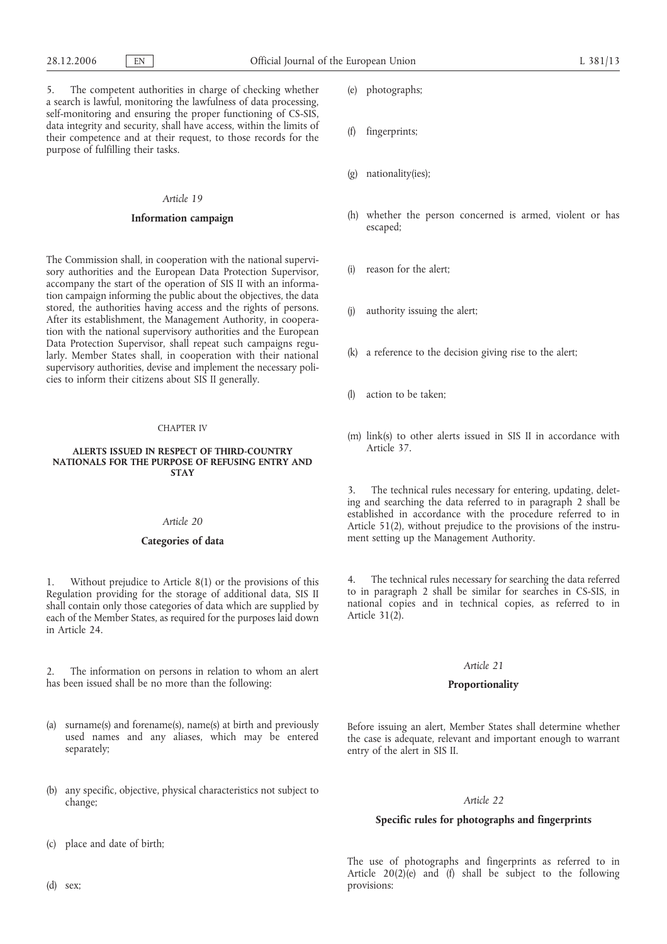5. The competent authorities in charge of checking whether a search is lawful, monitoring the lawfulness of data processing, self-monitoring and ensuring the proper functioning of CS-SIS, data integrity and security, shall have access, within the limits of their competence and at their request, to those records for the purpose of fulfilling their tasks.

#### *Article 19*

### **Information campaign**

The Commission shall, in cooperation with the national supervisory authorities and the European Data Protection Supervisor, accompany the start of the operation of SIS II with an information campaign informing the public about the objectives, the data stored, the authorities having access and the rights of persons. After its establishment, the Management Authority, in cooperation with the national supervisory authorities and the European Data Protection Supervisor, shall repeat such campaigns regularly. Member States shall, in cooperation with their national supervisory authorities, devise and implement the necessary policies to inform their citizens about SIS II generally.

#### CHAPTER IV

#### **ALERTS ISSUED IN RESPECT OF THIRD-COUNTRY NATIONALS FOR THE PURPOSE OF REFUSING ENTRY AND STAY**

## *Article 20*

## **Categories of data**

1. Without prejudice to Article 8(1) or the provisions of this Regulation providing for the storage of additional data, SIS II shall contain only those categories of data which are supplied by each of the Member States, as required for the purposes laid down in Article 24.

2. The information on persons in relation to whom an alert has been issued shall be no more than the following:

- (a) surname(s) and forename(s), name(s) at birth and previously used names and any aliases, which may be entered separately;
- (b) any specific, objective, physical characteristics not subject to change;
- (c) place and date of birth;
- (d) sex;
- (e) photographs;
- fingerprints;
- (g) nationality(ies);
- (h) whether the person concerned is armed, violent or has escaped;
- (i) reason for the alert;
- (j) authority issuing the alert;
- (k) a reference to the decision giving rise to the alert;
- (l) action to be taken;
- (m) link(s) to other alerts issued in SIS II in accordance with Article 37.

3. The technical rules necessary for entering, updating, deleting and searching the data referred to in paragraph 2 shall be established in accordance with the procedure referred to in Article 51(2), without prejudice to the provisions of the instrument setting up the Management Authority.

4. The technical rules necessary for searching the data referred to in paragraph 2 shall be similar for searches in CS-SIS, in national copies and in technical copies, as referred to in Article 31(2).

#### *Article 21*

### **Proportionality**

Before issuing an alert, Member States shall determine whether the case is adequate, relevant and important enough to warrant entry of the alert in SIS II.

#### *Article 22*

## **Specific rules for photographs and fingerprints**

The use of photographs and fingerprints as referred to in Article  $20(2)(e)$  and (f) shall be subject to the following provisions: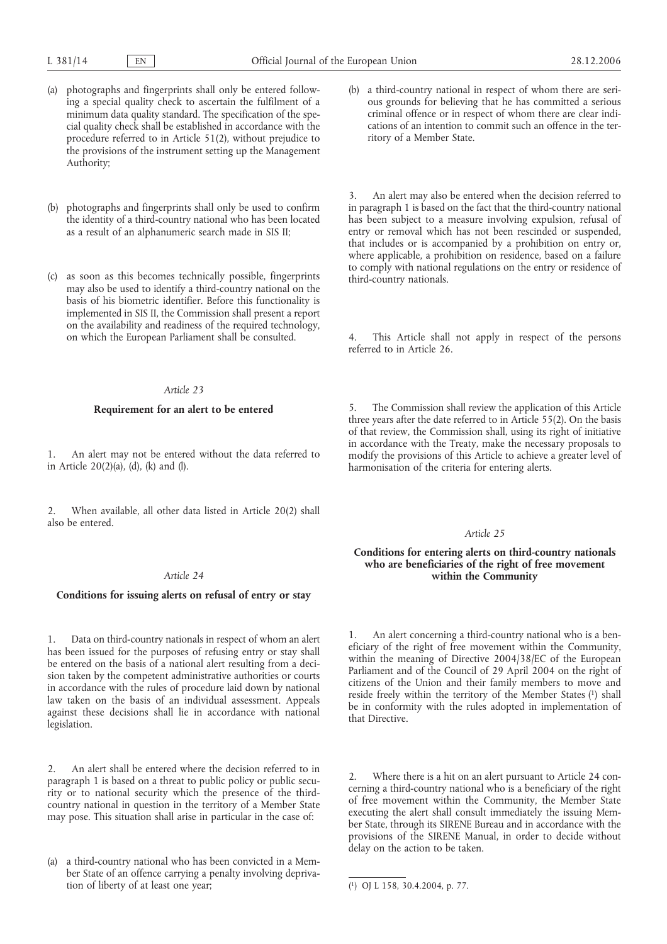- (a) photographs and fingerprints shall only be entered following a special quality check to ascertain the fulfilment of a minimum data quality standard. The specification of the special quality check shall be established in accordance with the procedure referred to in Article 51(2), without prejudice to the provisions of the instrument setting up the Management Authority;
- (b) photographs and fingerprints shall only be used to confirm the identity of a third-country national who has been located as a result of an alphanumeric search made in SIS II;
- (c) as soon as this becomes technically possible, fingerprints may also be used to identify a third-country national on the basis of his biometric identifier. Before this functionality is implemented in SIS II, the Commission shall present a report on the availability and readiness of the required technology, on which the European Parliament shall be consulted.

## **Requirement for an alert to be entered**

1. An alert may not be entered without the data referred to in Article 20 $(2)(a)$ ,  $(d)$ ,  $(k)$  and  $(l)$ .

2. When available, all other data listed in Article 20(2) shall also be entered.

## *Article 24*

# **Conditions for issuing alerts on refusal of entry or stay**

1. Data on third-country nationals in respect of whom an alert has been issued for the purposes of refusing entry or stay shall be entered on the basis of a national alert resulting from a decision taken by the competent administrative authorities or courts in accordance with the rules of procedure laid down by national law taken on the basis of an individual assessment. Appeals against these decisions shall lie in accordance with national legislation.

2. An alert shall be entered where the decision referred to in paragraph 1 is based on a threat to public policy or public security or to national security which the presence of the thirdcountry national in question in the territory of a Member State may pose. This situation shall arise in particular in the case of:

(a) a third-country national who has been convicted in a Member State of an offence carrying a penalty involving deprivation of liberty of at least one year;

(b) a third-country national in respect of whom there are serious grounds for believing that he has committed a serious criminal offence or in respect of whom there are clear indications of an intention to commit such an offence in the territory of a Member State.

3. An alert may also be entered when the decision referred to in paragraph 1 is based on the fact that the third-country national has been subject to a measure involving expulsion, refusal of entry or removal which has not been rescinded or suspended, that includes or is accompanied by a prohibition on entry or, where applicable, a prohibition on residence, based on a failure to comply with national regulations on the entry or residence of third-country nationals.

This Article shall not apply in respect of the persons referred to in Article 26.

5. The Commission shall review the application of this Article three years after the date referred to in Article 55(2). On the basis of that review, the Commission shall, using its right of initiative in accordance with the Treaty, make the necessary proposals to modify the provisions of this Article to achieve a greater level of harmonisation of the criteria for entering alerts.

## *Article 25*

## **Conditions for entering alerts on third-country nationals who are beneficiaries of the right of free movement within the Community**

An alert concerning a third-country national who is a beneficiary of the right of free movement within the Community, within the meaning of Directive 2004/38/EC of the European Parliament and of the Council of 29 April 2004 on the right of citizens of the Union and their family members to move and reside freely within the territory of the Member States (1) shall be in conformity with the rules adopted in implementation of that Directive.

2. Where there is a hit on an alert pursuant to Article 24 concerning a third-country national who is a beneficiary of the right of free movement within the Community, the Member State executing the alert shall consult immediately the issuing Member State, through its SIRENE Bureau and in accordance with the provisions of the SIRENE Manual, in order to decide without delay on the action to be taken.

<sup>(</sup> 1) OJ L 158, 30.4.2004, p. 77.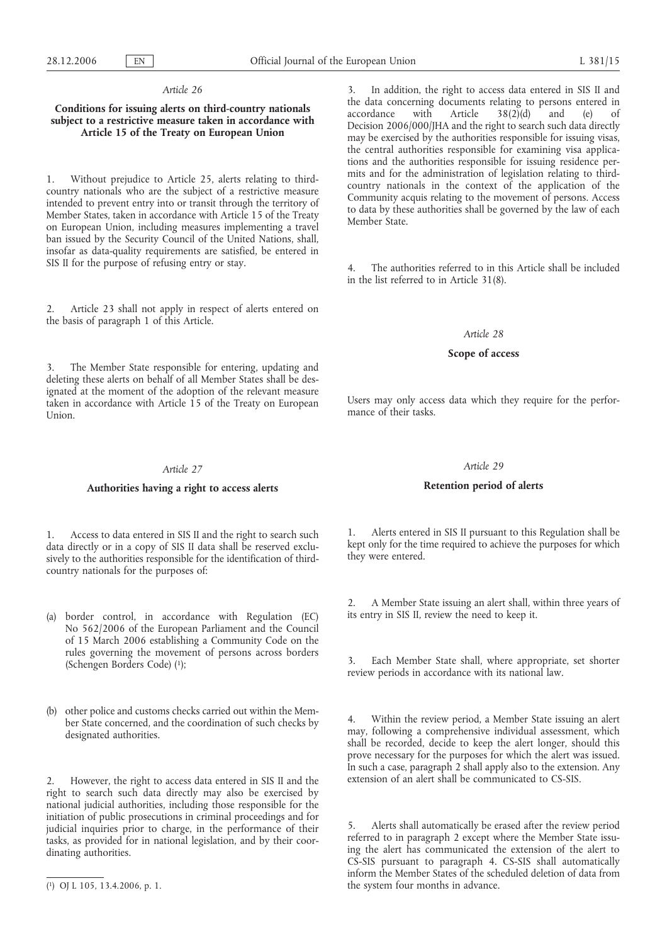## **Conditions for issuing alerts on third-country nationals subject to a restrictive measure taken in accordance with Article 15 of the Treaty on European Union**

1. Without prejudice to Article 25, alerts relating to thirdcountry nationals who are the subject of a restrictive measure intended to prevent entry into or transit through the territory of Member States, taken in accordance with Article 15 of the Treaty on European Union, including measures implementing a travel ban issued by the Security Council of the United Nations, shall, insofar as data-quality requirements are satisfied, be entered in SIS II for the purpose of refusing entry or stay.

2. Article 23 shall not apply in respect of alerts entered on the basis of paragraph 1 of this Article.

3. The Member State responsible for entering, updating and deleting these alerts on behalf of all Member States shall be designated at the moment of the adoption of the relevant measure taken in accordance with Article 15 of the Treaty on European Union.

#### *Article 27*

## **Authorities having a right to access alerts**

1. Access to data entered in SIS II and the right to search such data directly or in a copy of SIS II data shall be reserved exclusively to the authorities responsible for the identification of thirdcountry nationals for the purposes of:

- (a) border control, in accordance with Regulation (EC) No 562/2006 of the European Parliament and the Council of 15 March 2006 establishing a Community Code on the rules governing the movement of persons across borders (Schengen Borders Code) (1);
- (b) other police and customs checks carried out within the Member State concerned, and the coordination of such checks by designated authorities.

2. However, the right to access data entered in SIS II and the right to search such data directly may also be exercised by national judicial authorities, including those responsible for the initiation of public prosecutions in criminal proceedings and for judicial inquiries prior to charge, in the performance of their tasks, as provided for in national legislation, and by their coordinating authorities.

3. In addition, the right to access data entered in SIS II and the data concerning documents relating to persons entered in accordance with Article 38(2)(d) and (e) of Decision 2006/000/JHA and the right to search such data directly may be exercised by the authorities responsible for issuing visas, the central authorities responsible for examining visa applications and the authorities responsible for issuing residence permits and for the administration of legislation relating to thirdcountry nationals in the context of the application of the Community acquis relating to the movement of persons. Access to data by these authorities shall be governed by the law of each Member State.

4. The authorities referred to in this Article shall be included in the list referred to in Article 31(8).

### *Article 28*

# **Scope of access**

Users may only access data which they require for the performance of their tasks.

#### *Article 29*

## **Retention period of alerts**

1. Alerts entered in SIS II pursuant to this Regulation shall be kept only for the time required to achieve the purposes for which they were entered.

2. A Member State issuing an alert shall, within three years of its entry in SIS II, review the need to keep it.

3. Each Member State shall, where appropriate, set shorter review periods in accordance with its national law.

4. Within the review period, a Member State issuing an alert may, following a comprehensive individual assessment, which shall be recorded, decide to keep the alert longer, should this prove necessary for the purposes for which the alert was issued. In such a case, paragraph 2 shall apply also to the extension. Any extension of an alert shall be communicated to CS-SIS.

5. Alerts shall automatically be erased after the review period referred to in paragraph 2 except where the Member State issuing the alert has communicated the extension of the alert to CS-SIS pursuant to paragraph 4. CS-SIS shall automatically inform the Member States of the scheduled deletion of data from (*l*) OJ L 105, 13.4.2006, p. 1. the system four months in advance.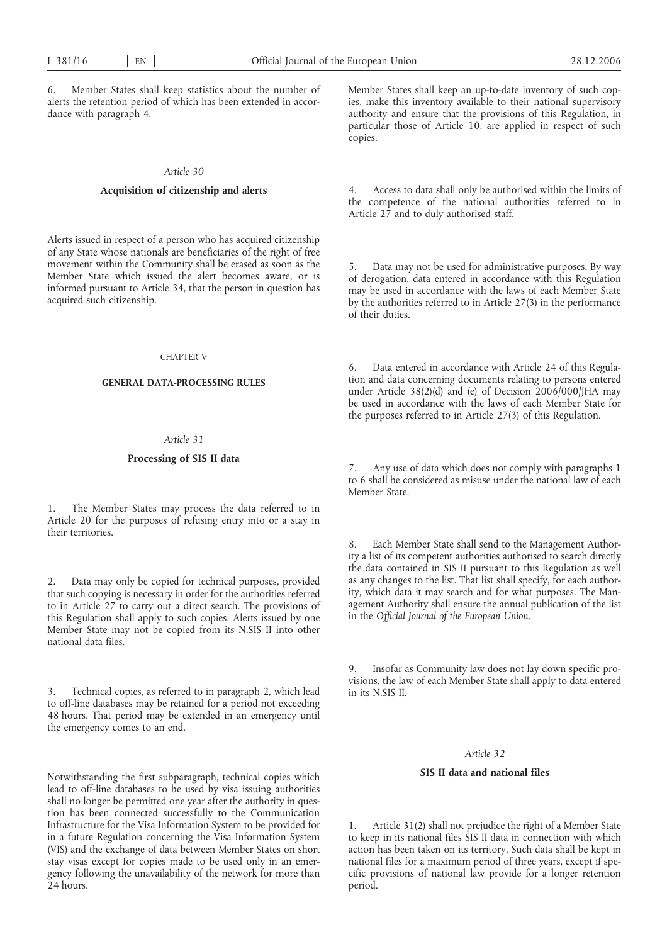6. Member States shall keep statistics about the number of alerts the retention period of which has been extended in accordance with paragraph 4.

### *Article 30*

## **Acquisition of citizenship and alerts**

Alerts issued in respect of a person who has acquired citizenship of any State whose nationals are beneficiaries of the right of free movement within the Community shall be erased as soon as the Member State which issued the alert becomes aware, or is informed pursuant to Article 34, that the person in question has acquired such citizenship.

#### CHAPTER V

#### **GENERAL DATA-PROCESSING RULES**

# *Article 31*

### **Processing of SIS II data**

1. The Member States may process the data referred to in Article 20 for the purposes of refusing entry into or a stay in their territories.

2. Data may only be copied for technical purposes, provided that such copying is necessary in order for the authorities referred to in Article 27 to carry out a direct search. The provisions of this Regulation shall apply to such copies. Alerts issued by one Member State may not be copied from its N.SIS II into other national data files.

Technical copies, as referred to in paragraph 2, which lead to off-line databases may be retained for a period not exceeding 48 hours. That period may be extended in an emergency until the emergency comes to an end.

Notwithstanding the first subparagraph, technical copies which lead to off-line databases to be used by visa issuing authorities shall no longer be permitted one year after the authority in question has been connected successfully to the Communication Infrastructure for the Visa Information System to be provided for in a future Regulation concerning the Visa Information System (VIS) and the exchange of data between Member States on short stay visas except for copies made to be used only in an emergency following the unavailability of the network for more than 24 hours.

Member States shall keep an up-to-date inventory of such copies, make this inventory available to their national supervisory authority and ensure that the provisions of this Regulation, in particular those of Article 10, are applied in respect of such copies.

4. Access to data shall only be authorised within the limits of the competence of the national authorities referred to in Article  $2\overline{7}$  and to duly authorised staff.

Data may not be used for administrative purposes. By way of derogation, data entered in accordance with this Regulation may be used in accordance with the laws of each Member State by the authorities referred to in Article 27(3) in the performance of their duties.

6. Data entered in accordance with Article 24 of this Regulation and data concerning documents relating to persons entered under Article 38(2)(d) and (e) of Decision  $200\dot{6}/000$  [HA may be used in accordance with the laws of each Member State for the purposes referred to in Article 27(3) of this Regulation.

7. Any use of data which does not comply with paragraphs 1 to 6 shall be considered as misuse under the national law of each Member State.

8. Each Member State shall send to the Management Authority a list of its competent authorities authorised to search directly the data contained in SIS II pursuant to this Regulation as well as any changes to the list. That list shall specify, for each authority, which data it may search and for what purposes. The Management Authority shall ensure the annual publication of the list in the *Official Journal of the European Union*.

9. Insofar as Community law does not lay down specific provisions, the law of each Member State shall apply to data entered in its N.SIS II.

## *Article 32*

### **SIS II data and national files**

1. Article 31(2) shall not prejudice the right of a Member State to keep in its national files SIS II data in connection with which action has been taken on its territory. Such data shall be kept in national files for a maximum period of three years, except if specific provisions of national law provide for a longer retention period.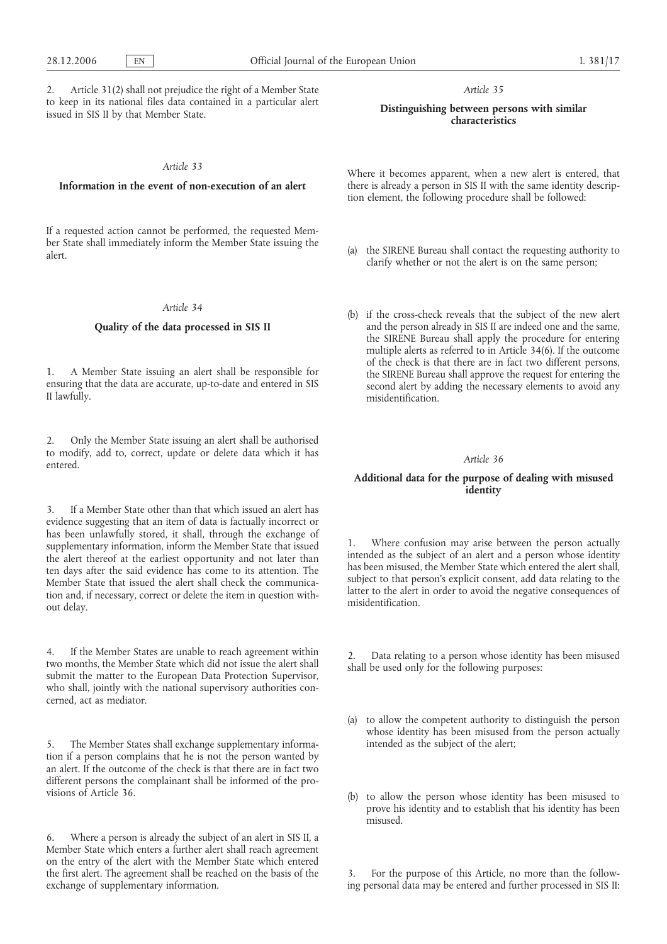2. Article 31(2) shall not prejudice the right of a Member State to keep in its national files data contained in a particular alert issued in SIS II by that Member State.

# *Article 33*

## **Information in the event of non-execution of an alert**

If a requested action cannot be performed, the requested Member State shall immediately inform the Member State issuing the alert.

#### *Article 34*

## **Quality of the data processed in SIS II**

1. A Member State issuing an alert shall be responsible for ensuring that the data are accurate, up-to-date and entered in SIS II lawfully.

2. Only the Member State issuing an alert shall be authorised to modify, add to, correct, update or delete data which it has entered.

3. If a Member State other than that which issued an alert has evidence suggesting that an item of data is factually incorrect or has been unlawfully stored, it shall, through the exchange of supplementary information, inform the Member State that issued the alert thereof at the earliest opportunity and not later than ten days after the said evidence has come to its attention. The Member State that issued the alert shall check the communication and, if necessary, correct or delete the item in question without delay.

4. If the Member States are unable to reach agreement within two months, the Member State which did not issue the alert shall submit the matter to the European Data Protection Supervisor, who shall, jointly with the national supervisory authorities concerned, act as mediator.

5. The Member States shall exchange supplementary information if a person complains that he is not the person wanted by an alert. If the outcome of the check is that there are in fact two different persons the complainant shall be informed of the provisions of Article 36.

6. Where a person is already the subject of an alert in SIS II, a Member State which enters a further alert shall reach agreement on the entry of the alert with the Member State which entered the first alert. The agreement shall be reached on the basis of the exchange of supplementary information.

*Article 35*

**Distinguishing between persons with similar characteristics**

Where it becomes apparent, when a new alert is entered, that there is already a person in SIS II with the same identity description element, the following procedure shall be followed:

- (a) the SIRENE Bureau shall contact the requesting authority to clarify whether or not the alert is on the same person;
- (b) if the cross-check reveals that the subject of the new alert and the person already in SIS II are indeed one and the same, the SIRENE Bureau shall apply the procedure for entering multiple alerts as referred to in Article 34(6). If the outcome of the check is that there are in fact two different persons, the SIRENE Bureau shall approve the request for entering the second alert by adding the necessary elements to avoid any misidentification.

### *Article 36*

# **Additional data for the purpose of dealing with misused identity**

1. Where confusion may arise between the person actually intended as the subject of an alert and a person whose identity has been misused, the Member State which entered the alert shall, subject to that person's explicit consent, add data relating to the latter to the alert in order to avoid the negative consequences of misidentification.

2. Data relating to a person whose identity has been misused shall be used only for the following purposes:

- (a) to allow the competent authority to distinguish the person whose identity has been misused from the person actually intended as the subject of the alert;
- (b) to allow the person whose identity has been misused to prove his identity and to establish that his identity has been misused.

3. For the purpose of this Article, no more than the following personal data may be entered and further processed in SIS II: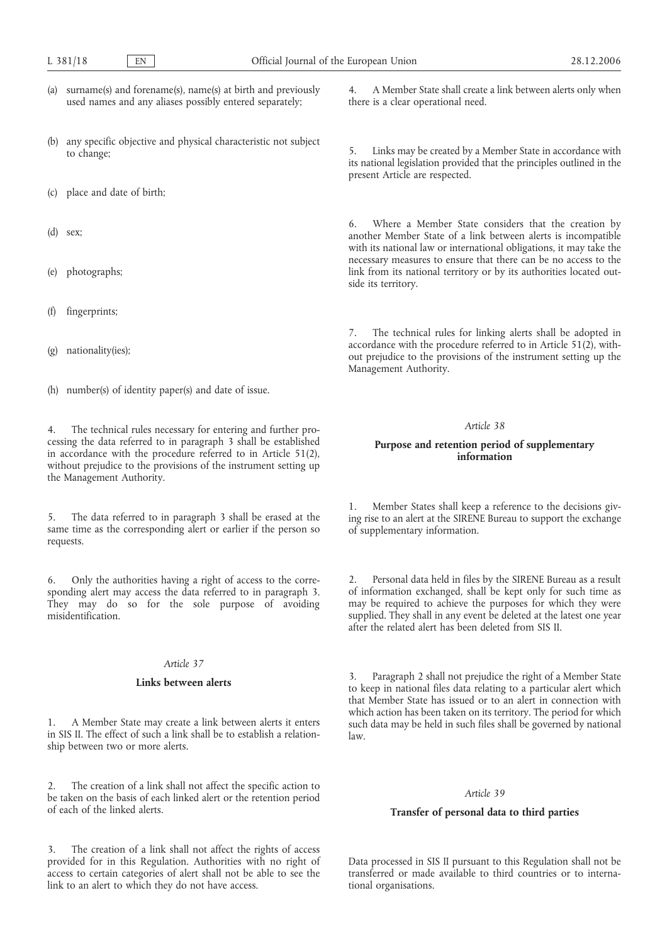- (a) surname(s) and forename(s), name(s) at birth and previously used names and any aliases possibly entered separately;
- (b) any specific objective and physical characteristic not subject to change;
- (c) place and date of birth;
- (d) sex;
- (e) photographs;
- (f) fingerprints;
- (g) nationality(ies);

(h) number(s) of identity paper(s) and date of issue.

4. The technical rules necessary for entering and further processing the data referred to in paragraph 3 shall be established in accordance with the procedure referred to in Article 51(2), without prejudice to the provisions of the instrument setting up the Management Authority.

5. The data referred to in paragraph 3 shall be erased at the same time as the corresponding alert or earlier if the person so requests.

6. Only the authorities having a right of access to the corresponding alert may access the data referred to in paragraph 3. They may do so for the sole purpose of avoiding misidentification.

### *Article 37*

# **Links between alerts**

1. A Member State may create a link between alerts it enters in SIS II. The effect of such a link shall be to establish a relationship between two or more alerts.

2. The creation of a link shall not affect the specific action to be taken on the basis of each linked alert or the retention period of each of the linked alerts.

3. The creation of a link shall not affect the rights of access provided for in this Regulation. Authorities with no right of access to certain categories of alert shall not be able to see the link to an alert to which they do not have access.

4. A Member State shall create a link between alerts only when there is a clear operational need.

5. Links may be created by a Member State in accordance with its national legislation provided that the principles outlined in the present Article are respected.

6. Where a Member State considers that the creation by another Member State of a link between alerts is incompatible with its national law or international obligations, it may take the necessary measures to ensure that there can be no access to the link from its national territory or by its authorities located outside its territory.

7. The technical rules for linking alerts shall be adopted in accordance with the procedure referred to in Article 51(2), without prejudice to the provisions of the instrument setting up the Management Authority.

### *Article 38*

## **Purpose and retention period of supplementary information**

1. Member States shall keep a reference to the decisions giving rise to an alert at the SIRENE Bureau to support the exchange of supplementary information.

2. Personal data held in files by the SIRENE Bureau as a result of information exchanged, shall be kept only for such time as may be required to achieve the purposes for which they were supplied. They shall in any event be deleted at the latest one year after the related alert has been deleted from SIS II.

3. Paragraph 2 shall not prejudice the right of a Member State to keep in national files data relating to a particular alert which that Member State has issued or to an alert in connection with which action has been taken on its territory. The period for which such data may be held in such files shall be governed by national law.

## *Article 39*

### **Transfer of personal data to third parties**

Data processed in SIS II pursuant to this Regulation shall not be transferred or made available to third countries or to international organisations.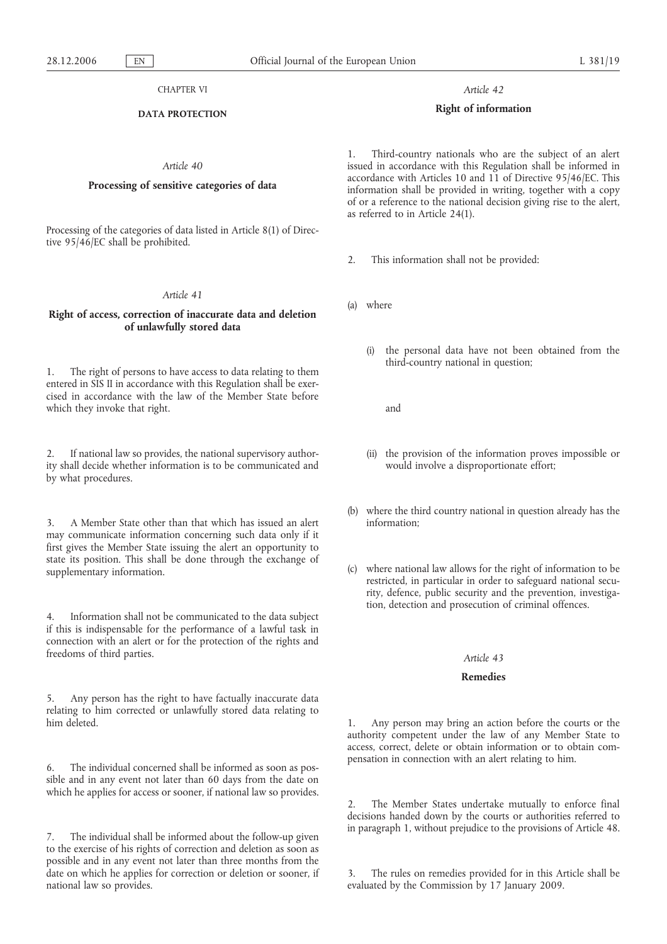## CHAPTER VI

# **DATA PROTECTION**

### *Article 40*

## **Processing of sensitive categories of data**

Processing of the categories of data listed in Article 8(1) of Directive 95/46/EC shall be prohibited.

### *Article 41*

## **Right of access, correction of inaccurate data and deletion of unlawfully stored data**

1. The right of persons to have access to data relating to them entered in SIS II in accordance with this Regulation shall be exercised in accordance with the law of the Member State before which they invoke that right.

2. If national law so provides, the national supervisory authority shall decide whether information is to be communicated and by what procedures.

3. A Member State other than that which has issued an alert may communicate information concerning such data only if it first gives the Member State issuing the alert an opportunity to state its position. This shall be done through the exchange of supplementary information.

4. Information shall not be communicated to the data subject if this is indispensable for the performance of a lawful task in connection with an alert or for the protection of the rights and freedoms of third parties.

5. Any person has the right to have factually inaccurate data relating to him corrected or unlawfully stored data relating to him deleted.

6. The individual concerned shall be informed as soon as possible and in any event not later than 60 days from the date on which he applies for access or sooner, if national law so provides.

7. The individual shall be informed about the follow-up given to the exercise of his rights of correction and deletion as soon as possible and in any event not later than three months from the date on which he applies for correction or deletion or sooner, if national law so provides.

#### *Article 42*

## **Right of information**

1. Third-country nationals who are the subject of an alert issued in accordance with this Regulation shall be informed in accordance with Articles 10 and 11 of Directive 95/46/EC. This information shall be provided in writing, together with a copy of or a reference to the national decision giving rise to the alert, as referred to in Article 24(1).

- 2. This information shall not be provided:
- (a) where
	- (i) the personal data have not been obtained from the third-country national in question;
		- and
	- (ii) the provision of the information proves impossible or would involve a disproportionate effort;
- (b) where the third country national in question already has the information;
- (c) where national law allows for the right of information to be restricted, in particular in order to safeguard national security, defence, public security and the prevention, investigation, detection and prosecution of criminal offences.

### *Article 43*

### **Remedies**

1. Any person may bring an action before the courts or the authority competent under the law of any Member State to access, correct, delete or obtain information or to obtain compensation in connection with an alert relating to him.

2. The Member States undertake mutually to enforce final decisions handed down by the courts or authorities referred to in paragraph 1, without prejudice to the provisions of Article 48.

The rules on remedies provided for in this Article shall be evaluated by the Commission by 17 January 2009.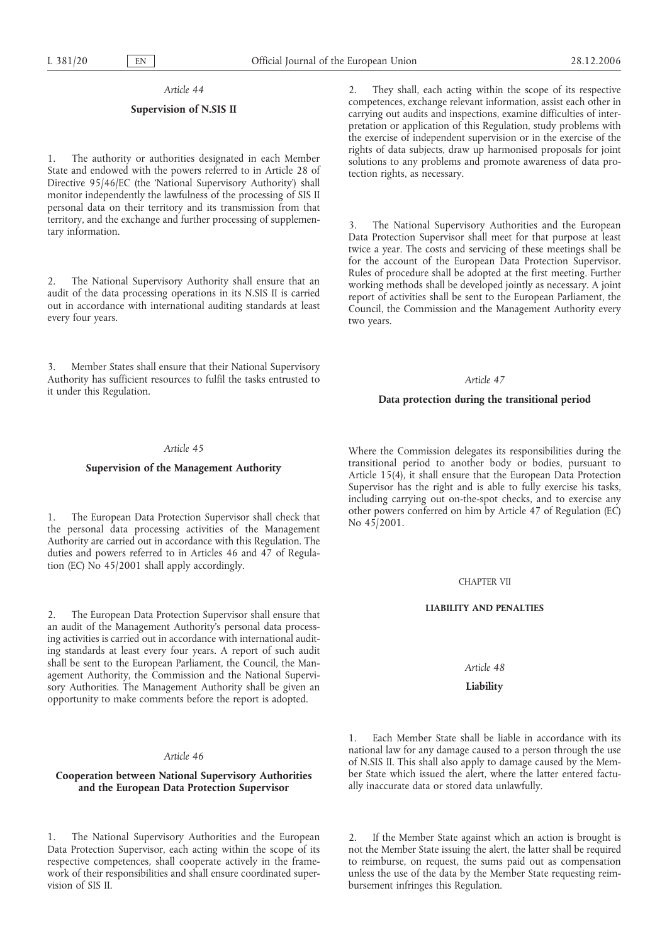## **Supervision of N.SIS II**

1. The authority or authorities designated in each Member State and endowed with the powers referred to in Article 28 of Directive 95/46/EC (the 'National Supervisory Authority') shall monitor independently the lawfulness of the processing of SIS II personal data on their territory and its transmission from that territory, and the exchange and further processing of supplementary information.

2. The National Supervisory Authority shall ensure that an audit of the data processing operations in its N.SIS II is carried out in accordance with international auditing standards at least every four years.

3. Member States shall ensure that their National Supervisory Authority has sufficient resources to fulfil the tasks entrusted to it under this Regulation.

2. They shall, each acting within the scope of its respective competences, exchange relevant information, assist each other in carrying out audits and inspections, examine difficulties of interpretation or application of this Regulation, study problems with the exercise of independent supervision or in the exercise of the rights of data subjects, draw up harmonised proposals for joint solutions to any problems and promote awareness of data protection rights, as necessary.

The National Supervisory Authorities and the European Data Protection Supervisor shall meet for that purpose at least twice a year. The costs and servicing of these meetings shall be for the account of the European Data Protection Supervisor. Rules of procedure shall be adopted at the first meeting. Further working methods shall be developed jointly as necessary. A joint report of activities shall be sent to the European Parliament, the Council, the Commission and the Management Authority every two years.

## *Article 47*

## **Data protection during the transitional period**

## *Article 45*

#### **Supervision of the Management Authority**

1. The European Data Protection Supervisor shall check that the personal data processing activities of the Management Authority are carried out in accordance with this Regulation. The duties and powers referred to in Articles 46 and 47 of Regulation (EC) No 45/2001 shall apply accordingly.

2. The European Data Protection Supervisor shall ensure that an audit of the Management Authority's personal data processing activities is carried out in accordance with international auditing standards at least every four years. A report of such audit shall be sent to the European Parliament, the Council, the Management Authority, the Commission and the National Supervisory Authorities. The Management Authority shall be given an opportunity to make comments before the report is adopted.

## *Article 46*

## **Cooperation between National Supervisory Authorities and the European Data Protection Supervisor**

1. The National Supervisory Authorities and the European Data Protection Supervisor, each acting within the scope of its respective competences, shall cooperate actively in the framework of their responsibilities and shall ensure coordinated supervision of SIS II.

Where the Commission delegates its responsibilities during the transitional period to another body or bodies, pursuant to Article 15(4), it shall ensure that the European Data Protection Supervisor has the right and is able to fully exercise his tasks, including carrying out on-the-spot checks, and to exercise any other powers conferred on him by Article 47 of Regulation (EC) No 45/2001.

### CHAPTER VII

# **LIABILITY AND PENALTIES**

# *Article 48*

## **Liability**

1. Each Member State shall be liable in accordance with its national law for any damage caused to a person through the use of N.SIS II. This shall also apply to damage caused by the Member State which issued the alert, where the latter entered factually inaccurate data or stored data unlawfully.

2. If the Member State against which an action is brought is not the Member State issuing the alert, the latter shall be required to reimburse, on request, the sums paid out as compensation unless the use of the data by the Member State requesting reimbursement infringes this Regulation.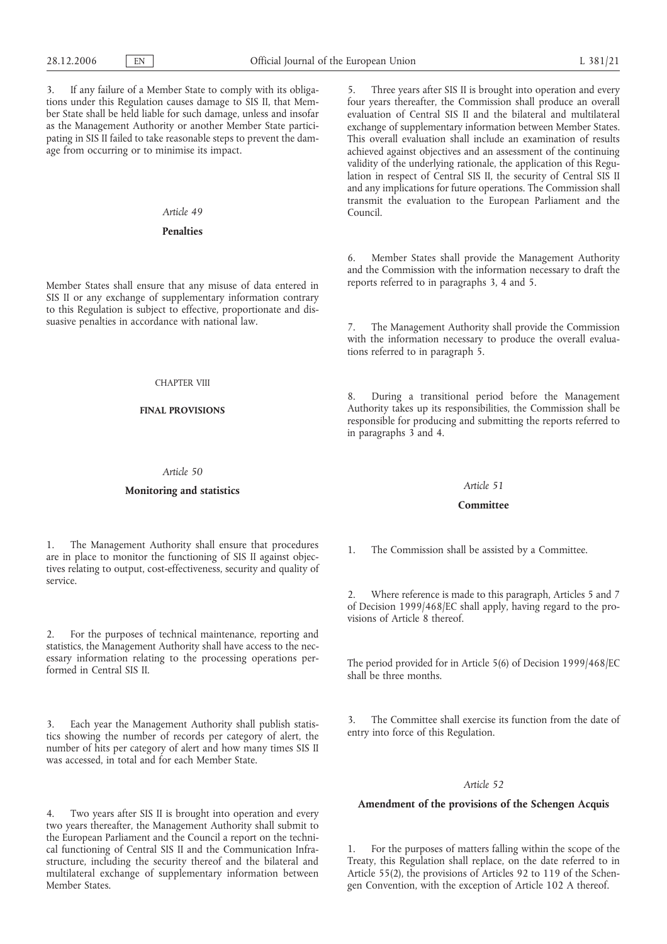3. If any failure of a Member State to comply with its obligations under this Regulation causes damage to SIS II, that Member State shall be held liable for such damage, unless and insofar as the Management Authority or another Member State participating in SIS II failed to take reasonable steps to prevent the damage from occurring or to minimise its impact.

## *Article 49*

#### **Penalties**

Member States shall ensure that any misuse of data entered in SIS II or any exchange of supplementary information contrary to this Regulation is subject to effective, proportionate and dissuasive penalties in accordance with national law.

#### CHAPTER VIII

## **FINAL PROVISIONS**

#### *Article 50*

### **Monitoring and statistics**

1. The Management Authority shall ensure that procedures are in place to monitor the functioning of SIS II against objectives relating to output, cost-effectiveness, security and quality of service.

2. For the purposes of technical maintenance, reporting and statistics, the Management Authority shall have access to the necessary information relating to the processing operations performed in Central SIS II.

3. Each year the Management Authority shall publish statistics showing the number of records per category of alert, the number of hits per category of alert and how many times SIS II was accessed, in total and for each Member State.

4. Two years after SIS II is brought into operation and every two years thereafter, the Management Authority shall submit to the European Parliament and the Council a report on the technical functioning of Central SIS II and the Communication Infrastructure, including the security thereof and the bilateral and multilateral exchange of supplementary information between Member States.

5. Three years after SIS II is brought into operation and every four years thereafter, the Commission shall produce an overall evaluation of Central SIS II and the bilateral and multilateral exchange of supplementary information between Member States. This overall evaluation shall include an examination of results achieved against objectives and an assessment of the continuing validity of the underlying rationale, the application of this Regulation in respect of Central SIS II, the security of Central SIS II and any implications for future operations. The Commission shall transmit the evaluation to the European Parliament and the Council.

6. Member States shall provide the Management Authority and the Commission with the information necessary to draft the reports referred to in paragraphs 3, 4 and 5.

7. The Management Authority shall provide the Commission with the information necessary to produce the overall evaluations referred to in paragraph 5.

8. During a transitional period before the Management Authority takes up its responsibilities, the Commission shall be responsible for producing and submitting the reports referred to in paragraphs 3 and 4.

#### *Article 51*

#### **Committee**

1. The Commission shall be assisted by a Committee.

2. Where reference is made to this paragraph, Articles 5 and 7 of Decision 1999/468/EC shall apply, having regard to the provisions of Article 8 thereof.

The period provided for in Article 5(6) of Decision 1999/468/EC shall be three months.

3. The Committee shall exercise its function from the date of entry into force of this Regulation.

#### *Article 52*

### **Amendment of the provisions of the Schengen Acquis**

1. For the purposes of matters falling within the scope of the Treaty, this Regulation shall replace, on the date referred to in Article 55(2), the provisions of Articles 92 to 119 of the Schengen Convention, with the exception of Article 102 A thereof.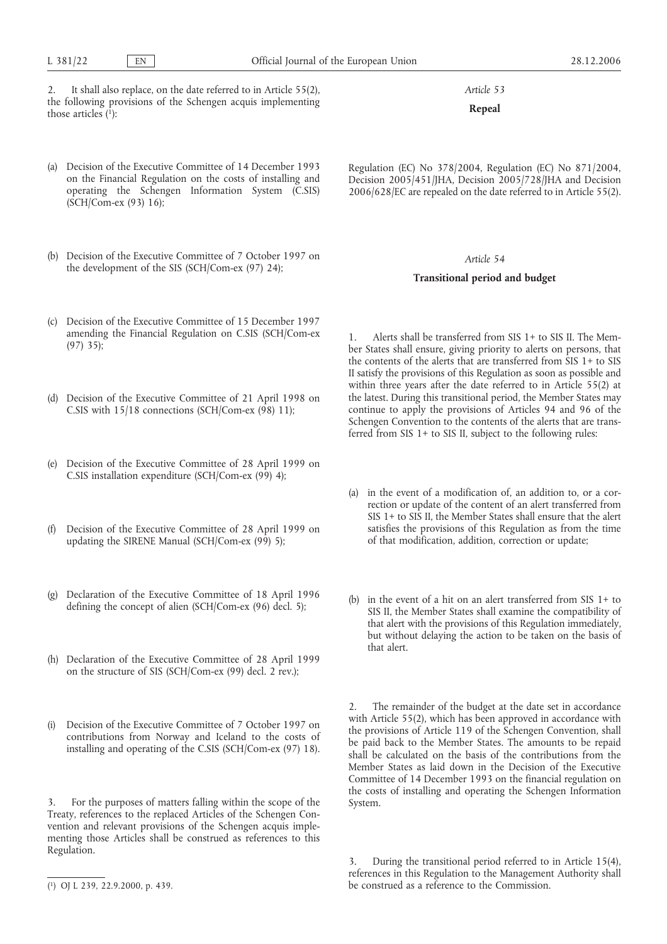2. It shall also replace, on the date referred to in Article 55(2), the following provisions of the Schengen acquis implementing those articles  $(1)$ :

*Article 53* **Repeal**

(a) Decision of the Executive Committee of 14 December 1993 on the Financial Regulation on the costs of installing and operating the Schengen Information System (C.SIS) (SCH/Com-ex (93) 16);

- (b) Decision of the Executive Committee of 7 October 1997 on the development of the SIS (SCH/Com-ex (97) 24);
- (c) Decision of the Executive Committee of 15 December 1997 amending the Financial Regulation on C.SIS (SCH/Com-ex (97) 35);
- (d) Decision of the Executive Committee of 21 April 1998 on C.SIS with  $15/18$  connections (SCH/Com-ex (98) 11);
- (e) Decision of the Executive Committee of 28 April 1999 on C.SIS installation expenditure (SCH/Com-ex (99) 4);
- (f) Decision of the Executive Committee of 28 April 1999 on updating the SIRENE Manual (SCH/Com-ex (99) 5);
- (g) Declaration of the Executive Committee of 18 April 1996 defining the concept of alien (SCH/Com-ex (96) decl. 5);
- (h) Declaration of the Executive Committee of 28 April 1999 on the structure of SIS (SCH/Com-ex (99) decl. 2 rev.);
- (i) Decision of the Executive Committee of 7 October 1997 on contributions from Norway and Iceland to the costs of installing and operating of the C.SIS (SCH/Com-ex (97) 18).

For the purposes of matters falling within the scope of the Treaty, references to the replaced Articles of the Schengen Convention and relevant provisions of the Schengen acquis implementing those Articles shall be construed as references to this Regulation.

Regulation (EC) No 378/2004, Regulation (EC) No 871/2004, Decision 2005/451/JHA, Decision 2005/728/JHA and Decision 2006/628/EC are repealed on the date referred to in Article 55(2).

## *Article 54*

## **Transitional period and budget**

1. Alerts shall be transferred from SIS 1+ to SIS II. The Member States shall ensure, giving priority to alerts on persons, that the contents of the alerts that are transferred from SIS 1+ to SIS II satisfy the provisions of this Regulation as soon as possible and within three years after the date referred to in Article 55(2) at the latest. During this transitional period, the Member States may continue to apply the provisions of Articles 94 and 96 of the Schengen Convention to the contents of the alerts that are transferred from SIS 1+ to SIS II, subject to the following rules:

- (a) in the event of a modification of, an addition to, or a correction or update of the content of an alert transferred from SIS 1+ to SIS II, the Member States shall ensure that the alert satisfies the provisions of this Regulation as from the time of that modification, addition, correction or update;
- (b) in the event of a hit on an alert transferred from SIS 1+ to SIS II, the Member States shall examine the compatibility of that alert with the provisions of this Regulation immediately, but without delaying the action to be taken on the basis of that alert.

2. The remainder of the budget at the date set in accordance with Article 55(2), which has been approved in accordance with the provisions of Article 119 of the Schengen Convention, shall be paid back to the Member States. The amounts to be repaid shall be calculated on the basis of the contributions from the Member States as laid down in the Decision of the Executive Committee of 14 December 1993 on the financial regulation on the costs of installing and operating the Schengen Information System.

During the transitional period referred to in Article 15(4), references in this Regulation to the Management Authority shall ( $\alpha$ ) OJ L 239, 22.9.2000, p. 439.  $\alpha$  be construed as a reference to the Commission.